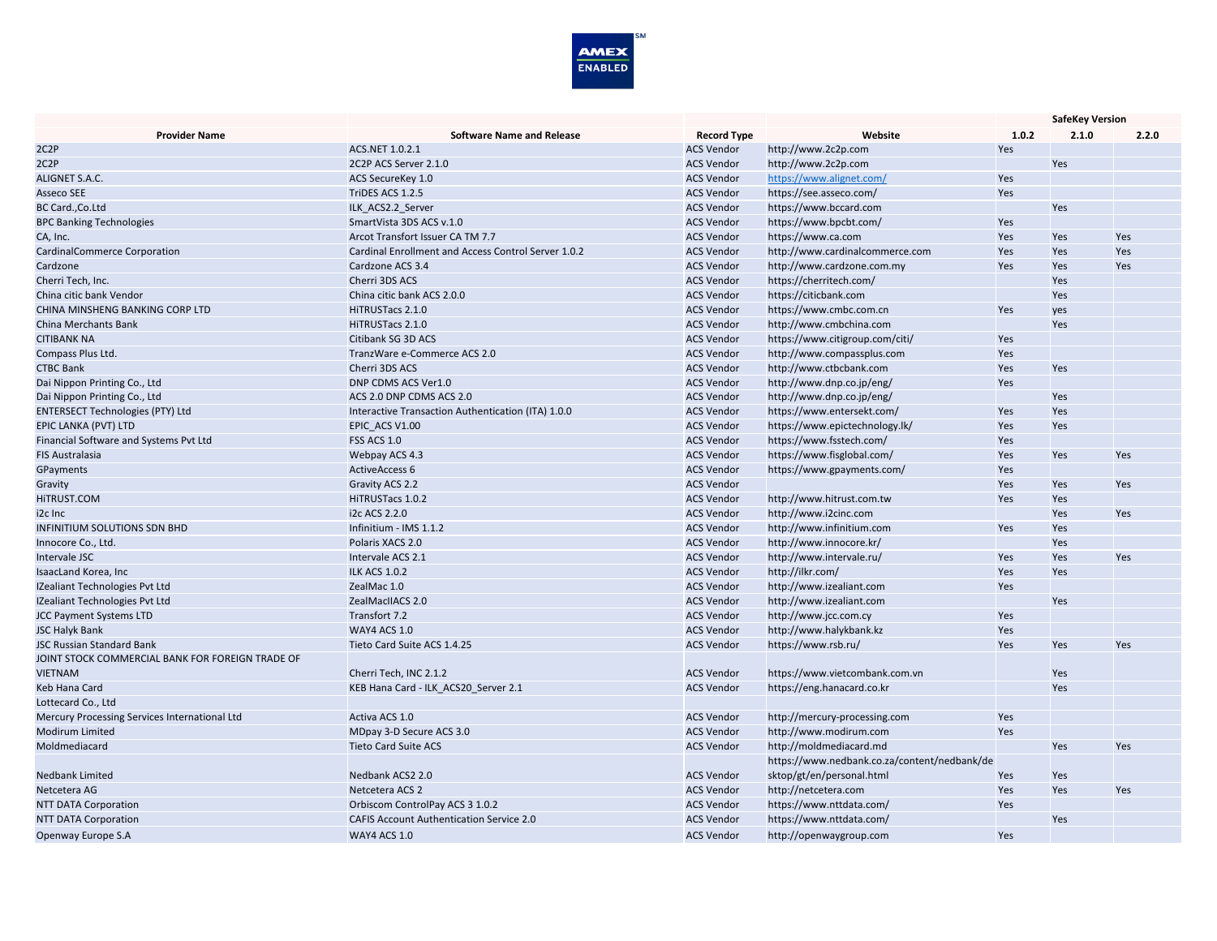

|                                                  |                                                     |                    |                                              | <b>SafeKey Version</b> |       |       |
|--------------------------------------------------|-----------------------------------------------------|--------------------|----------------------------------------------|------------------------|-------|-------|
| <b>Provider Name</b>                             | <b>Software Name and Release</b>                    | <b>Record Type</b> | Website                                      | 1.0.2                  | 2.1.0 | 2.2.0 |
| 2C2P                                             | ACS.NET 1.0.2.1                                     | <b>ACS Vendor</b>  | http://www.2c2p.com                          | Yes                    |       |       |
| 2C2P                                             | 2C2P ACS Server 2.1.0                               | <b>ACS Vendor</b>  | http://www.2c2p.com                          |                        | Yes   |       |
| ALIGNET S.A.C.                                   | ACS SecureKey 1.0                                   | <b>ACS Vendor</b>  | https://www.alignet.com/                     | Yes                    |       |       |
| Asseco SEE                                       | TriDES ACS 1.2.5                                    | <b>ACS Vendor</b>  | https://see.asseco.com/                      | Yes                    |       |       |
| BC Card., Co.Ltd                                 | ILK ACS2.2 Server                                   | <b>ACS Vendor</b>  | https://www.bccard.com                       |                        | Yes   |       |
| <b>BPC Banking Technologies</b>                  | SmartVista 3DS ACS v.1.0                            | <b>ACS Vendor</b>  | https://www.bpcbt.com/                       | Yes                    |       |       |
| CA, Inc.                                         | Arcot Transfort Issuer CA TM 7.7                    | <b>ACS Vendor</b>  | https://www.ca.com                           | Yes                    | Yes   | Yes   |
| CardinalCommerce Corporation                     | Cardinal Enrollment and Access Control Server 1.0.2 | <b>ACS Vendor</b>  | http://www.cardinalcommerce.com              | Yes                    | Yes   | Yes   |
| Cardzone                                         | Cardzone ACS 3.4                                    | <b>ACS Vendor</b>  | http://www.cardzone.com.my                   | Yes                    | Yes   | Yes   |
| Cherri Tech, Inc.                                | Cherri 3DS ACS                                      | <b>ACS Vendor</b>  | https://cherritech.com/                      |                        | Yes   |       |
| China citic bank Vendor                          | China citic bank ACS 2.0.0                          | <b>ACS Vendor</b>  | https://citicbank.com                        |                        | Yes   |       |
| CHINA MINSHENG BANKING CORP LTD                  | HiTRUSTacs 2.1.0                                    | <b>ACS Vendor</b>  | https://www.cmbc.com.cn                      | Yes                    | yes   |       |
| <b>China Merchants Bank</b>                      | HiTRUSTacs 2.1.0                                    | <b>ACS Vendor</b>  | http://www.cmbchina.com                      |                        | Yes   |       |
| <b>CITIBANK NA</b>                               | Citibank SG 3D ACS                                  | <b>ACS Vendor</b>  | https://www.citigroup.com/citi/              | Yes                    |       |       |
| Compass Plus Ltd.                                | TranzWare e-Commerce ACS 2.0                        | <b>ACS Vendor</b>  | http://www.compassplus.com                   | Yes                    |       |       |
| <b>CTBC Bank</b>                                 | Cherri 3DS ACS                                      | <b>ACS Vendor</b>  | http://www.ctbcbank.com                      | Yes                    | Yes   |       |
| Dai Nippon Printing Co., Ltd                     | DNP CDMS ACS Ver1.0                                 | <b>ACS Vendor</b>  | http://www.dnp.co.jp/eng/                    | Yes                    |       |       |
| Dai Nippon Printing Co., Ltd                     | ACS 2.0 DNP CDMS ACS 2.0                            | <b>ACS Vendor</b>  | http://www.dnp.co.jp/eng/                    |                        | Yes   |       |
| <b>ENTERSECT Technologies (PTY) Ltd</b>          | Interactive Transaction Authentication (ITA) 1.0.0  | <b>ACS Vendor</b>  | https://www.entersekt.com/                   | Yes                    | Yes   |       |
| EPIC LANKA (PVT) LTD                             | EPIC ACS V1.00                                      | <b>ACS Vendor</b>  | https://www.epictechnology.lk/               | Yes                    | Yes   |       |
| Financial Software and Systems Pvt Ltd           | <b>FSS ACS 1.0</b>                                  | <b>ACS Vendor</b>  | https://www.fsstech.com/                     | Yes                    |       |       |
| <b>FIS Australasia</b>                           | Webpay ACS 4.3                                      | <b>ACS Vendor</b>  | https://www.fisglobal.com/                   | Yes                    | Yes   | Yes   |
| GPayments                                        | <b>ActiveAccess 6</b>                               | <b>ACS Vendor</b>  | https://www.gpayments.com/                   | Yes                    |       |       |
| Gravity                                          | Gravity ACS 2.2                                     | <b>ACS Vendor</b>  |                                              | Yes                    | Yes   | Yes   |
| HITRUST.COM                                      | HiTRUSTacs 1.0.2                                    | <b>ACS Vendor</b>  | http://www.hitrust.com.tw                    | Yes                    | Yes   |       |
| i <sub>2c</sub> Inc                              | i2c ACS 2.2.0                                       | <b>ACS Vendor</b>  | http://www.i2cinc.com                        |                        | Yes   | Yes   |
| <b>INFINITIUM SOLUTIONS SDN BHD</b>              | Infinitium - IMS 1.1.2                              | <b>ACS Vendor</b>  | http://www.infinitium.com                    | Yes                    | Yes   |       |
| Innocore Co., Ltd.                               | Polaris XACS 2.0                                    | <b>ACS Vendor</b>  | http://www.innocore.kr/                      |                        | Yes   |       |
| Intervale JSC                                    | Intervale ACS 2.1                                   | <b>ACS Vendor</b>  | http://www.intervale.ru/                     | Yes                    | Yes   | Yes   |
| IsaacLand Korea, Inc                             | <b>ILK ACS 1.0.2</b>                                | <b>ACS Vendor</b>  | http://ilkr.com/                             | Yes                    | Yes   |       |
| IZealiant Technologies Pvt Ltd                   | ZealMac 1.0                                         | <b>ACS Vendor</b>  | http://www.izealiant.com                     | Yes                    |       |       |
| IZealiant Technologies Pvt Ltd                   | ZealMacIIACS 2.0                                    | <b>ACS Vendor</b>  | http://www.izealiant.com                     |                        | Yes   |       |
| <b>JCC Payment Systems LTD</b>                   | Transfort 7.2                                       | <b>ACS Vendor</b>  | http://www.jcc.com.cy                        | Yes                    |       |       |
| <b>JSC Halyk Bank</b>                            | <b>WAY4 ACS 1.0</b>                                 | <b>ACS Vendor</b>  | http://www.halykbank.kz                      | Yes                    |       |       |
| <b>JSC Russian Standard Bank</b>                 | Tieto Card Suite ACS 1.4.25                         | <b>ACS Vendor</b>  | https://www.rsb.ru/                          | Yes                    | Yes   | Yes   |
| JOINT STOCK COMMERCIAL BANK FOR FOREIGN TRADE OF |                                                     |                    |                                              |                        |       |       |
| <b>VIETNAM</b>                                   | Cherri Tech, INC 2.1.2                              | <b>ACS Vendor</b>  | https://www.vietcombank.com.vn               |                        | Yes   |       |
| Keb Hana Card                                    | KEB Hana Card - ILK_ACS20_Server 2.1                | <b>ACS Vendor</b>  | https://eng.hanacard.co.kr                   |                        | Yes   |       |
| Lottecard Co., Ltd                               |                                                     |                    |                                              |                        |       |       |
| Mercury Processing Services International Ltd    | Activa ACS 1.0                                      | <b>ACS Vendor</b>  | http://mercury-processing.com                | Yes                    |       |       |
| <b>Modirum Limited</b>                           | MDpay 3-D Secure ACS 3.0                            | <b>ACS Vendor</b>  | http://www.modirum.com                       | Yes                    |       |       |
| Moldmediacard                                    | <b>Tieto Card Suite ACS</b>                         | <b>ACS Vendor</b>  | http://moldmediacard.md                      |                        | Yes   | Yes   |
|                                                  |                                                     |                    |                                              |                        |       |       |
|                                                  | Nedbank ACS2 2.0                                    |                    | https://www.nedbank.co.za/content/nedbank/de |                        |       |       |
| <b>Nedbank Limited</b>                           |                                                     | <b>ACS Vendor</b>  | sktop/gt/en/personal.html                    | Yes                    | Yes   |       |
| Netcetera AG                                     | Netcetera ACS 2                                     | <b>ACS Vendor</b>  | http://netcetera.com                         | Yes                    | Yes   | Yes   |
| <b>NTT DATA Corporation</b>                      | Orbiscom ControlPay ACS 3 1.0.2                     | <b>ACS Vendor</b>  | https://www.nttdata.com/                     | Yes                    |       |       |
| <b>NTT DATA Corporation</b>                      | <b>CAFIS Account Authentication Service 2.0</b>     | <b>ACS Vendor</b>  | https://www.nttdata.com/                     |                        | Yes   |       |
| Openway Europe S.A                               | WAY4 ACS 1.0                                        | <b>ACS Vendor</b>  | http://openwaygroup.com                      | Yes                    |       |       |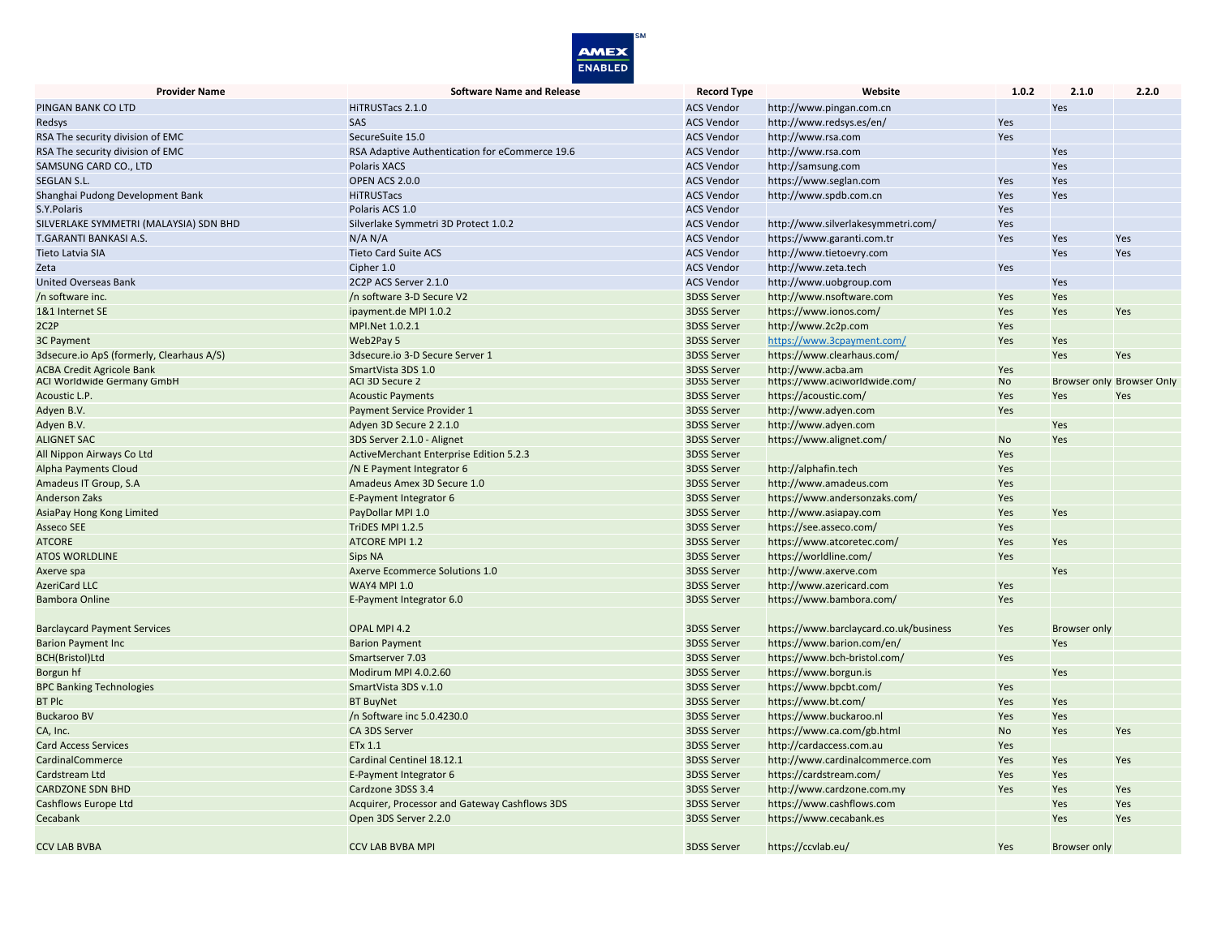

| <b>Provider Name</b>                                                  | <b>Software Name and Release</b>               | <b>Record Type</b>                       | Website                                             | 1.0.2 | 2.1.0               | 2.2.0                     |
|-----------------------------------------------------------------------|------------------------------------------------|------------------------------------------|-----------------------------------------------------|-------|---------------------|---------------------------|
| PINGAN BANK CO LTD                                                    | HiTRUSTacs 2.1.0                               | <b>ACS Vendor</b>                        | http://www.pingan.com.cn                            |       | Yes                 |                           |
| Redsys                                                                | SAS.                                           | <b>ACS Vendor</b>                        | http://www.redsys.es/en/                            | Yes   |                     |                           |
| RSA The security division of EMC                                      | SecureSuite 15.0                               | <b>ACS Vendor</b>                        | http://www.rsa.com                                  | Yes   |                     |                           |
| RSA The security division of EMC                                      | RSA Adaptive Authentication for eCommerce 19.6 | <b>ACS Vendor</b>                        | http://www.rsa.com                                  |       | Yes                 |                           |
| SAMSUNG CARD CO., LTD                                                 | Polaris XACS                                   | <b>ACS Vendor</b>                        | http://samsung.com                                  |       | Yes                 |                           |
| <b>SEGLAN S.L.</b>                                                    | OPEN ACS 2.0.0                                 | <b>ACS Vendor</b>                        | https://www.seglan.com                              | Yes   | Yes                 |                           |
| Shanghai Pudong Development Bank                                      | <b>HiTRUSTacs</b>                              | <b>ACS Vendor</b>                        | http://www.spdb.com.cn                              | Yes   | Yes                 |                           |
| S.Y.Polaris                                                           | Polaris ACS 1.0                                | <b>ACS Vendor</b>                        |                                                     | Yes   |                     |                           |
| SILVERLAKE SYMMETRI (MALAYSIA) SDN BHD                                | Silverlake Symmetri 3D Protect 1.0.2           | <b>ACS Vendor</b>                        | http://www.silverlakesymmetri.com/                  | Yes   |                     |                           |
| T.GARANTI BANKASI A.S.                                                | N/A N/A                                        | <b>ACS Vendor</b>                        | https://www.garanti.com.tr                          | Yes   | Yes                 | Yes                       |
| Tieto Latvia SIA                                                      | <b>Tieto Card Suite ACS</b>                    | <b>ACS Vendor</b>                        | http://www.tietoevry.com                            |       | Yes                 | Yes                       |
| Zeta                                                                  | Cipher 1.0                                     | <b>ACS Vendor</b>                        | http://www.zeta.tech                                | Yes   |                     |                           |
| <b>United Overseas Bank</b>                                           | 2C2P ACS Server 2.1.0                          | <b>ACS Vendor</b>                        | http://www.uobgroup.com                             |       | Yes                 |                           |
| /n software inc.                                                      | /n software 3-D Secure V2                      | <b>3DSS Server</b>                       | http://www.nsoftware.com                            | Yes   | Yes                 |                           |
| 1&1 Internet SE                                                       | ipayment.de MPI 1.0.2                          | <b>3DSS Server</b>                       | https://www.ionos.com/                              | Yes   | Yes                 | Yes                       |
| 2C2P                                                                  | MPI.Net 1.0.2.1                                | 3DSS Server                              | http://www.2c2p.com                                 | Yes   |                     |                           |
| 3C Payment                                                            | Web2Pay 5                                      | <b>3DSS Server</b>                       | https://www.3cpayment.com/                          | Yes   | Yes                 |                           |
| 3dsecure.io ApS (formerly, Clearhaus A/S)                             | 3dsecure.io 3-D Secure Server 1                | <b>3DSS Server</b>                       | https://www.clearhaus.com/                          |       | Yes                 | Yes                       |
|                                                                       | SmartVista 3DS 1.0                             |                                          |                                                     | Yes   |                     |                           |
| <b>ACBA Credit Agricole Bank</b><br><b>ACI Worldwide Germany GmbH</b> | ACI 3D Secure 2                                | <b>3DSS Server</b><br><b>3DSS Server</b> | http://www.acba.am<br>https://www.aciworldwide.com/ | No    |                     | Browser only Browser Only |
| Acoustic L.P.                                                         | <b>Acoustic Payments</b>                       | <b>3DSS Server</b>                       | https://acoustic.com/                               | Yes   | Yes                 | Yes                       |
| Adyen B.V.                                                            | Payment Service Provider 1                     | <b>3DSS Server</b>                       | http://www.adyen.com                                | Yes   |                     |                           |
| Adyen B.V.                                                            | Adven 3D Secure 2 2.1.0                        | <b>3DSS Server</b>                       | http://www.adyen.com                                |       | Yes                 |                           |
| <b>ALIGNET SAC</b>                                                    | 3DS Server 2.1.0 - Alignet                     | <b>3DSS Server</b>                       | https://www.alignet.com/                            | No    | Yes                 |                           |
|                                                                       |                                                | <b>3DSS Server</b>                       |                                                     | Yes   |                     |                           |
| All Nippon Airways Co Ltd                                             | ActiveMerchant Enterprise Edition 5.2.3        |                                          |                                                     | Yes   |                     |                           |
| <b>Alpha Payments Cloud</b>                                           | /N E Payment Integrator 6                      | <b>3DSS Server</b>                       | http://alphafin.tech                                | Yes   |                     |                           |
| Amadeus IT Group, S.A                                                 | Amadeus Amex 3D Secure 1.0                     | <b>3DSS Server</b>                       | http://www.amadeus.com                              |       |                     |                           |
| Anderson Zaks                                                         | E-Payment Integrator 6                         | <b>3DSS Server</b>                       | https://www.andersonzaks.com/                       | Yes   |                     |                           |
| AsiaPay Hong Kong Limited                                             | PayDollar MPI 1.0                              | <b>3DSS Server</b>                       | http://www.asiapay.com                              | Yes   | Yes                 |                           |
| <b>Asseco SEE</b>                                                     | TriDES MPI 1.2.5                               | <b>3DSS Server</b>                       | https://see.asseco.com/                             | Yes   |                     |                           |
| <b>ATCORE</b>                                                         | <b>ATCORE MPI 1.2</b>                          | <b>3DSS Server</b>                       | https://www.atcoretec.com/                          | Yes   | Yes                 |                           |
| <b>ATOS WORLDLINE</b>                                                 | <b>Sips NA</b>                                 | <b>3DSS Server</b>                       | https://worldline.com/                              | Yes   |                     |                           |
| Axerve spa                                                            | <b>Axerve Ecommerce Solutions 1.0</b>          | <b>3DSS Server</b>                       | http://www.axerve.com                               |       | Yes                 |                           |
| <b>AzeriCard LLC</b>                                                  | <b>WAY4 MPI 1.0</b>                            | <b>3DSS Server</b>                       | http://www.azericard.com                            | Yes   |                     |                           |
| <b>Bambora Online</b>                                                 | E-Payment Integrator 6.0                       | <b>3DSS Server</b>                       | https://www.bambora.com/                            | Yes   |                     |                           |
| <b>Barclaycard Payment Services</b>                                   | OPAL MPI 4.2                                   | <b>3DSS Server</b>                       | https://www.barclaycard.co.uk/business              | Yes   | <b>Browser only</b> |                           |
| <b>Barion Payment Inc</b>                                             | <b>Barion Payment</b>                          | <b>3DSS Server</b>                       | https://www.barion.com/en/                          |       | Yes                 |                           |
| <b>BCH(Bristol)Ltd</b>                                                | Smartserver 7.03                               | <b>3DSS Server</b>                       | https://www.bch-bristol.com/                        | Yes   |                     |                           |
| Borgun hf                                                             | Modirum MPI 4.0.2.60                           | <b>3DSS Server</b>                       | https://www.borgun.is                               |       | Yes                 |                           |
| <b>BPC Banking Technologies</b>                                       | SmartVista 3DS v.1.0                           | <b>3DSS Server</b>                       | https://www.bpcbt.com/                              | Yes   |                     |                           |
| <b>BT PIC</b>                                                         | <b>BT BuyNet</b>                               | <b>3DSS Server</b>                       | https://www.bt.com/                                 | Yes   | Yes                 |                           |
| <b>Buckaroo BV</b>                                                    | /n Software inc 5.0.4230.0                     | <b>3DSS Server</b>                       | https://www.buckaroo.nl                             | Yes   | Yes                 |                           |
| CA, Inc.                                                              | CA 3DS Server                                  | 3DSS Server                              | https://www.ca.com/gb.html                          | No    | Yes                 | Yes                       |
| <b>Card Access Services</b>                                           | ETx 1.1                                        | <b>3DSS Server</b>                       | http://cardaccess.com.au                            | Yes   |                     |                           |
| CardinalCommerce                                                      | Cardinal Centinel 18.12.1                      | <b>3DSS Server</b>                       | http://www.cardinalcommerce.com                     | Yes   | Yes                 | Yes                       |
|                                                                       |                                                |                                          | https://cardstream.com/                             | Yes   | Yes                 |                           |
| Cardstream Ltd<br><b>CARDZONE SDN BHD</b>                             | E-Payment Integrator 6<br>Cardzone 3DSS 3.4    | <b>3DSS Server</b><br><b>3DSS Server</b> | http://www.cardzone.com.my                          | Yes   | Yes                 | Yes                       |
|                                                                       |                                                |                                          |                                                     |       |                     |                           |
| Cashflows Europe Ltd                                                  | Acquirer, Processor and Gateway Cashflows 3DS  | <b>3DSS Server</b>                       | https://www.cashflows.com                           |       | Yes                 | Yes                       |
| Cecabank                                                              | Open 3DS Server 2.2.0                          | <b>3DSS Server</b>                       | https://www.cecabank.es                             |       | Yes                 | <b>Yes</b>                |
| <b>CCV LAB BVBA</b>                                                   | <b>CCV LAB BVBA MPI</b>                        | <b>3DSS Server</b>                       | https://ccvlab.eu/                                  | Yes   | Browser only        |                           |
|                                                                       |                                                |                                          |                                                     |       |                     |                           |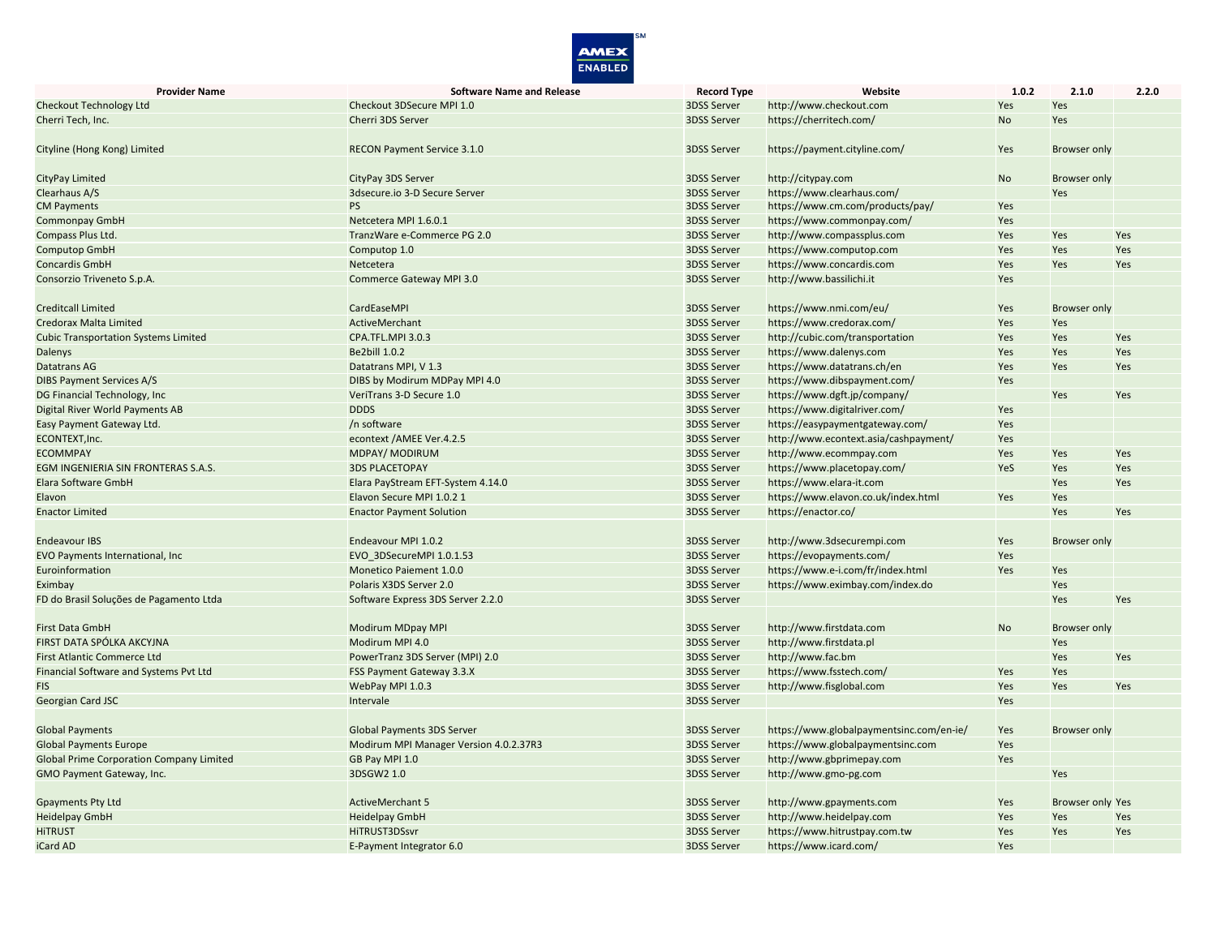

| <b>Provider Name</b>                            | <b>Software Name and Release</b>       | <b>Record Type</b> | Website                                  | 1.0.2     | 2.1.0                   | 2.2.0 |
|-------------------------------------------------|----------------------------------------|--------------------|------------------------------------------|-----------|-------------------------|-------|
| Checkout Technology Ltd                         | Checkout 3DSecure MPI 1.0              | 3DSS Server        | http://www.checkout.com                  | Yes       | Yes                     |       |
| Cherri Tech, Inc.                               | Cherri 3DS Server                      | <b>3DSS Server</b> | https://cherritech.com/                  | <b>No</b> | Yes                     |       |
|                                                 |                                        |                    |                                          |           |                         |       |
| Cityline (Hong Kong) Limited                    | <b>RECON Payment Service 3.1.0</b>     | <b>3DSS Server</b> | https://payment.cityline.com/            | Yes       | <b>Browser only</b>     |       |
|                                                 |                                        |                    |                                          |           |                         |       |
| CityPay Limited                                 | CityPay 3DS Server                     | <b>3DSS Server</b> | http://citypay.com                       | <b>No</b> | <b>Browser only</b>     |       |
| Clearhaus A/S                                   | 3dsecure.io 3-D Secure Server          | 3DSS Server        | https://www.clearhaus.com/               |           | Yes                     |       |
| <b>CM Payments</b>                              | <b>PS</b>                              | 3DSS Server        | https://www.cm.com/products/pay/         | Yes       |                         |       |
| <b>Commonpay GmbH</b>                           | Netcetera MPI 1.6.0.1                  | <b>3DSS Server</b> | https://www.commonpay.com/               | Yes       |                         |       |
| Compass Plus Ltd.                               | TranzWare e-Commerce PG 2.0            | 3DSS Server        | http://www.compassplus.com               | Yes       | Yes                     | Yes   |
| <b>Computop GmbH</b>                            | Computop 1.0                           | 3DSS Server        | https://www.computop.com                 | Yes       | Yes                     | Yes   |
| Concardis GmbH                                  | Netcetera                              | 3DSS Server        | https://www.concardis.com                | Yes       | Yes                     | Yes   |
| Consorzio Triveneto S.p.A.                      | Commerce Gateway MPI 3.0               | 3DSS Server        | http://www.bassilichi.it                 | Yes       |                         |       |
|                                                 |                                        |                    |                                          |           |                         |       |
| <b>Creditcall Limited</b>                       | CardEaseMPI                            | 3DSS Server        | https://www.nmi.com/eu/                  | Yes       | <b>Browser only</b>     |       |
| Credorax Malta Limited                          | ActiveMerchant                         | 3DSS Server        | https://www.credorax.com/                | Yes       | Yes                     |       |
| <b>Cubic Transportation Systems Limited</b>     | CPA.TFL.MPI 3.0.3                      | 3DSS Server        | http://cubic.com/transportation          | Yes       | Yes                     | Yes   |
| Dalenys                                         | <b>Be2bill 1.0.2</b>                   | 3DSS Server        | https://www.dalenys.com                  | Yes       | Yes                     | Yes   |
| <b>Datatrans AG</b>                             | Datatrans MPI, V 1.3                   | 3DSS Server        | https://www.datatrans.ch/en              | Yes       | Yes                     | Yes   |
| <b>DIBS Payment Services A/S</b>                | DIBS by Modirum MDPay MPI 4.0          | <b>3DSS Server</b> | https://www.dibspayment.com/             | Yes       |                         |       |
| DG Financial Technology, Inc.                   | VeriTrans 3-D Secure 1.0               | <b>3DSS Server</b> | https://www.dgft.jp/company/             |           | Yes                     | Yes   |
| <b>Digital River World Payments AB</b>          | <b>DDDS</b>                            | 3DSS Server        | https://www.digitalriver.com/            | Yes       |                         |       |
| Easy Payment Gateway Ltd.                       | /n software                            | 3DSS Server        | https://easypaymentgateway.com/          | Yes       |                         |       |
| ECONTEXT, Inc.                                  | econtext / AMEE Ver.4.2.5              | 3DSS Server        | http://www.econtext.asia/cashpayment/    | Yes       |                         |       |
| <b>ECOMMPAY</b>                                 | <b>MDPAY/ MODIRUM</b>                  | <b>3DSS Server</b> | http://www.ecommpay.com                  | Yes       | Yes                     | Yes   |
| EGM INGENIERIA SIN FRONTERAS S.A.S.             | <b>3DS PLACETOPAY</b>                  | 3DSS Server        | https://www.placetopay.com/              | YeS       | Yes                     | Yes   |
| Elara Software GmbH                             | Elara PayStream EFT-System 4.14.0      | 3DSS Server        | https://www.elara-it.com                 |           | Yes                     | Yes   |
| Elavon                                          | Elavon Secure MPI 1.0.2 1              | 3DSS Server        | https://www.elavon.co.uk/index.html      | Yes       | Yes                     |       |
| <b>Enactor Limited</b>                          | <b>Enactor Payment Solution</b>        | 3DSS Server        | https://enactor.co/                      |           | Yes                     | Yes   |
|                                                 |                                        |                    |                                          |           |                         |       |
| Endeavour IBS                                   | Endeavour MPI 1.0.2                    | 3DSS Server        | http://www.3dsecurempi.com               | Yes       | <b>Browser only</b>     |       |
| EVO Payments International, Inc.                | EVO 3DSecureMPI 1.0.1.53               | 3DSS Server        | https://evopayments.com/                 | Yes       |                         |       |
| Euroinformation                                 | <b>Monetico Paiement 1.0.0</b>         | 3DSS Server        | https://www.e-i.com/fr/index.html        | Yes       | Yes                     |       |
| Eximbay                                         | Polaris X3DS Server 2.0                | 3DSS Server        | https://www.eximbay.com/index.do         |           | Yes                     |       |
| FD do Brasil Soluções de Pagamento Ltda         | Software Express 3DS Server 2.2.0      | 3DSS Server        |                                          |           | Yes                     | Yes   |
|                                                 |                                        |                    |                                          |           |                         |       |
| <b>First Data GmbH</b>                          | <b>Modirum MDpay MPI</b>               | 3DSS Server        | http://www.firstdata.com                 | <b>No</b> | <b>Browser only</b>     |       |
| FIRST DATA SPÓLKA AKCYJNA                       | Modirum MPI 4.0                        | 3DSS Server        | http://www.firstdata.pl                  |           | Yes                     |       |
| <b>First Atlantic Commerce Ltd</b>              | PowerTranz 3DS Server (MPI) 2.0        | <b>3DSS Server</b> | http://www.fac.bm                        |           | Yes                     | Yes   |
| Financial Software and Systems Pvt Ltd          | FSS Payment Gateway 3.3.X              | 3DSS Server        | https://www.fsstech.com/                 | Yes       | Yes                     |       |
| <b>FIS</b>                                      | WebPay MPI 1.0.3                       | 3DSS Server        | http://www.fisglobal.com                 | Yes       | Yes                     | Yes   |
| Georgian Card JSC                               | Intervale                              | <b>3DSS Server</b> |                                          | Yes       |                         |       |
|                                                 |                                        |                    |                                          |           |                         |       |
| <b>Global Payments</b>                          | <b>Global Payments 3DS Server</b>      | <b>3DSS Server</b> | https://www.globalpaymentsinc.com/en-ie/ | Yes       | <b>Browser only</b>     |       |
| <b>Global Payments Europe</b>                   | Modirum MPI Manager Version 4.0.2.37R3 | <b>3DSS Server</b> | https://www.globalpaymentsinc.com        | Yes       |                         |       |
| <b>Global Prime Corporation Company Limited</b> | GB Pay MPI 1.0                         | 3DSS Server        | http://www.gbprimepay.com                | Yes       |                         |       |
| GMO Payment Gateway, Inc.                       | 3DSGW2 1.0                             | 3DSS Server        | http://www.gmo-pg.com                    |           | Yes                     |       |
|                                                 |                                        |                    |                                          |           |                         |       |
| <b>Gpayments Pty Ltd</b>                        | <b>ActiveMerchant 5</b>                | 3DSS Server        | http://www.gpayments.com                 | Yes       | <b>Browser only Yes</b> |       |
| <b>Heidelpay GmbH</b>                           | <b>Heidelpay GmbH</b>                  | <b>3DSS Server</b> | http://www.heidelpay.com                 | Yes       | Yes                     | Yes   |
| <b>HITRUST</b>                                  | HiTRUST3DSsvr                          | 3DSS Server        | https://www.hitrustpay.com.tw            | Yes       | Yes                     | Yes   |
| iCard AD                                        | E-Payment Integrator 6.0               | 3DSS Server        | https://www.icard.com/                   | Yes       |                         |       |
|                                                 |                                        |                    |                                          |           |                         |       |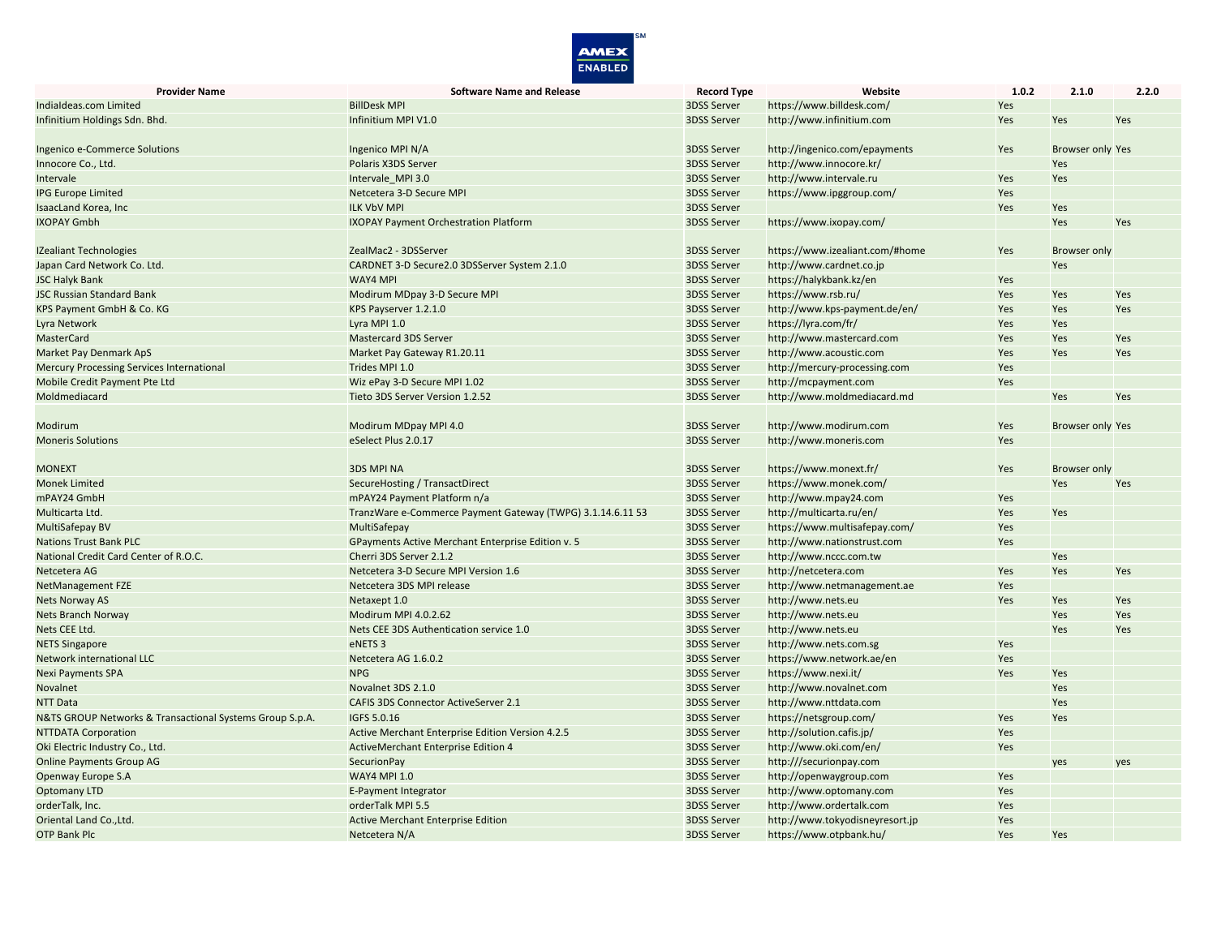

| <b>Provider Name</b>                                     | <b>Software Name and Release</b>                           | <b>Record Type</b> | Website                         | 1.0.2      | 2.1.0                   | 2.2.0 |
|----------------------------------------------------------|------------------------------------------------------------|--------------------|---------------------------------|------------|-------------------------|-------|
| Indialdeas.com Limited                                   | <b>BillDesk MPI</b>                                        | 3DSS Server        | https://www.billdesk.com/       | Yes        |                         |       |
| Infinitium Holdings Sdn. Bhd.                            | Infinitium MPI V1.0                                        | <b>3DSS Server</b> | http://www.infinitium.com       | Yes        | Yes                     | Yes   |
|                                                          |                                                            |                    |                                 |            |                         |       |
| Ingenico e-Commerce Solutions                            | Ingenico MPI N/A                                           | 3DSS Server        | http://ingenico.com/epayments   | Yes        | <b>Browser only Yes</b> |       |
| Innocore Co., Ltd.                                       | Polaris X3DS Server                                        | <b>3DSS Server</b> | http://www.innocore.kr/         |            | Yes                     |       |
| Intervale                                                | Intervale MPI 3.0                                          | 3DSS Server        | http://www.intervale.ru         | Yes        | Yes                     |       |
| <b>IPG Europe Limited</b>                                | Netcetera 3-D Secure MPI                                   | 3DSS Server        | https://www.ipggroup.com/       | Yes        |                         |       |
| IsaacLand Korea, Inc                                     | <b>ILK VbV MPI</b>                                         | <b>3DSS Server</b> |                                 | Yes        | Yes                     |       |
| <b>IXOPAY Gmbh</b>                                       | <b>IXOPAY Payment Orchestration Platform</b>               | 3DSS Server        | https://www.ixopay.com/         |            | Yes                     | Yes   |
|                                                          |                                                            |                    |                                 |            |                         |       |
| <b>IZealiant Technologies</b>                            | ZealMac2 - 3DSServer                                       | 3DSS Server        | https://www.izealiant.com/#home | Yes        | <b>Browser only</b>     |       |
| Japan Card Network Co. Ltd.                              | CARDNET 3-D Secure2.0 3DSServer System 2.1.0               | 3DSS Server        | http://www.cardnet.co.jp        |            | Yes                     |       |
| <b>JSC Halyk Bank</b>                                    | <b>WAY4 MPI</b>                                            | <b>3DSS Server</b> | https://halykbank.kz/en         | Yes        |                         |       |
| <b>JSC Russian Standard Bank</b>                         | Modirum MDpay 3-D Secure MPI                               | <b>3DSS Server</b> | https://www.rsb.ru/             | Yes        | Yes                     | Yes   |
| KPS Payment GmbH & Co. KG                                | KPS Payserver 1.2.1.0                                      | 3DSS Server        | http://www.kps-payment.de/en/   | Yes        | Yes                     | Yes   |
| Lyra Network                                             | Lyra MPI 1.0                                               | 3DSS Server        | https://lyra.com/fr/            | Yes        | Yes                     |       |
| MasterCard                                               | Mastercard 3DS Server                                      | <b>3DSS Server</b> | http://www.mastercard.com       | Yes        | Yes                     | Yes   |
| Market Pay Denmark ApS                                   | Market Pay Gateway R1.20.11                                | 3DSS Server        | http://www.acoustic.com         | Yes        | Yes                     | Yes   |
| <b>Mercury Processing Services International</b>         | Trides MPI 1.0                                             | 3DSS Server        | http://mercury-processing.com   | Yes        |                         |       |
| Mobile Credit Payment Pte Ltd                            | Wiz ePay 3-D Secure MPI 1.02                               | 3DSS Server        | http://mcpayment.com            | Yes        |                         |       |
| Moldmediacard                                            | Tieto 3DS Server Version 1.2.52                            | 3DSS Server        | http://www.moldmediacard.md     |            | Yes                     | Yes   |
|                                                          |                                                            |                    |                                 |            |                         |       |
| Modirum                                                  | Modirum MDpay MPI 4.0                                      | <b>3DSS Server</b> | http://www.modirum.com          | Yes        | <b>Browser only Yes</b> |       |
| <b>Moneris Solutions</b>                                 | eSelect Plus 2.0.17                                        | 3DSS Server        | http://www.moneris.com          | <b>Yes</b> |                         |       |
|                                                          |                                                            |                    |                                 |            |                         |       |
| <b>MONEXT</b>                                            | <b>3DS MPI NA</b>                                          | 3DSS Server        | https://www.monext.fr/          | Yes        | <b>Browser only</b>     |       |
| <b>Monek Limited</b>                                     | SecureHosting / TransactDirect                             | 3DSS Server        | https://www.monek.com/          |            | Yes                     | Yes   |
| mPAY24 GmbH                                              | mPAY24 Payment Platform n/a                                | <b>3DSS Server</b> | http://www.mpay24.com           | Yes        |                         |       |
| Multicarta Ltd.                                          | TranzWare e-Commerce Payment Gateway (TWPG) 3.1.14.6.11 53 | 3DSS Server        | http://multicarta.ru/en/        | Yes        | Yes                     |       |
| MultiSafepay BV                                          | MultiSafepay                                               | 3DSS Server        | https://www.multisafepay.com/   | Yes        |                         |       |
| <b>Nations Trust Bank PLC</b>                            | GPayments Active Merchant Enterprise Edition v. 5          | 3DSS Server        | http://www.nationstrust.com     | Yes        |                         |       |
| National Credit Card Center of R.O.C.                    | Cherri 3DS Server 2.1.2                                    | 3DSS Server        | http://www.nccc.com.tw          |            | Yes                     |       |
| Netcetera AG                                             | Netcetera 3-D Secure MPI Version 1.6                       | 3DSS Server        | http://netcetera.com            | Yes        | Yes                     | Yes   |
| NetManagement FZE                                        | Netcetera 3DS MPI release                                  | 3DSS Server        | http://www.netmanagement.ae     | Yes        |                         |       |
| <b>Nets Norway AS</b>                                    | Netaxept 1.0                                               | <b>3DSS Server</b> | http://www.nets.eu              | Yes        | Yes                     | Yes   |
| <b>Nets Branch Norway</b>                                | Modirum MPI 4.0.2.62                                       | 3DSS Server        | http://www.nets.eu              |            | Yes                     | Yes   |
| Nets CEE Ltd.                                            | Nets CEE 3DS Authentication service 1.0                    | 3DSS Server        | http://www.nets.eu              |            | Yes                     | Yes   |
| <b>NETS Singapore</b>                                    | eNETS <sub>3</sub>                                         | 3DSS Server        | http://www.nets.com.sg          | Yes        |                         |       |
| Network international LLC                                | Netcetera AG 1.6.0.2                                       | 3DSS Server        | https://www.network.ae/en       | Yes        |                         |       |
| <b>Nexi Payments SPA</b>                                 | <b>NPG</b>                                                 | <b>3DSS Server</b> | https://www.nexi.it/            | Yes        | Yes                     |       |
| Novalnet                                                 | Novalnet 3DS 2.1.0                                         | 3DSS Server        | http://www.novalnet.com         |            | Yes                     |       |
| <b>NTT Data</b>                                          | <b>CAFIS 3DS Connector ActiveServer 2.1</b>                | 3DSS Server        | http://www.nttdata.com          |            | Yes                     |       |
| N&TS GROUP Networks & Transactional Systems Group S.p.A. | IGFS 5.0.16                                                | 3DSS Server        | https://netsgroup.com/          | Yes        | Yes                     |       |
| <b>NTTDATA Corporation</b>                               | Active Merchant Enterprise Edition Version 4.2.5           | <b>3DSS Server</b> | http://solution.cafis.jp/       | Yes        |                         |       |
| Oki Electric Industry Co., Ltd.                          | <b>ActiveMerchant Enterprise Edition 4</b>                 | <b>3DSS Server</b> | http://www.oki.com/en/          | Yes        |                         |       |
| <b>Online Payments Group AG</b>                          | <b>SecurionPay</b>                                         | <b>3DSS Server</b> | http:///securionpay.com         |            |                         |       |
| Openway Europe S.A                                       | <b>WAY4 MPI 1.0</b>                                        | <b>3DSS Server</b> | http://openwaygroup.com         | Yes        | yes                     | yes   |
| <b>Optomany LTD</b>                                      | E-Payment Integrator                                       | 3DSS Server        | http://www.optomany.com         | Yes        |                         |       |
| orderTalk, Inc.                                          | orderTalk MPI 5.5                                          | 3DSS Server        | http://www.ordertalk.com        | Yes        |                         |       |
| Oriental Land Co., Ltd.                                  | <b>Active Merchant Enterprise Edition</b>                  | <b>3DSS Server</b> | http://www.tokyodisneyresort.jp | Yes        |                         |       |
| <b>OTP Bank Plc</b>                                      |                                                            | <b>3DSS Server</b> |                                 | Yes        | Yes                     |       |
|                                                          | Netcetera N/A                                              |                    | https://www.otpbank.hu/         |            |                         |       |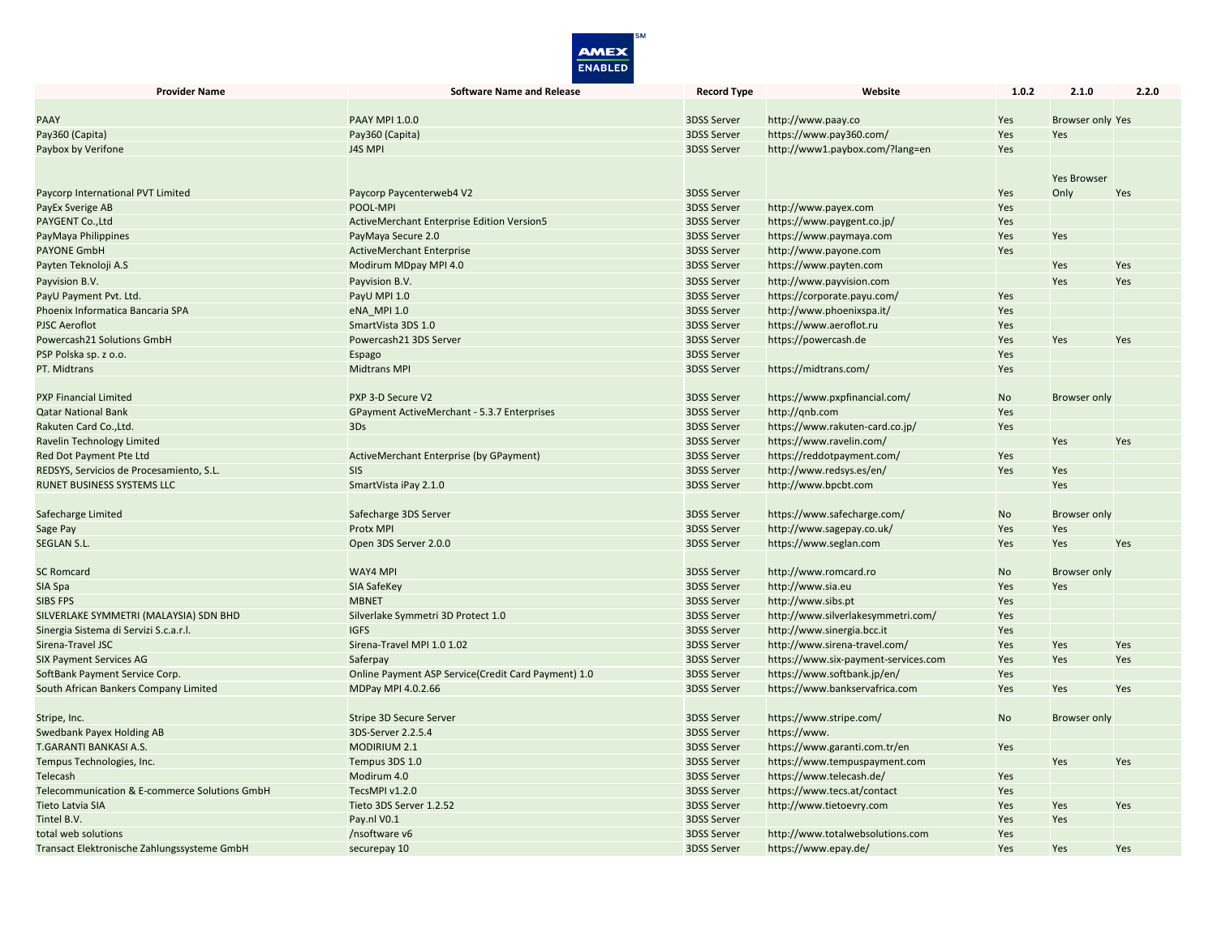

| <b>Provider Name</b>                          | <b>Software Name and Release</b>                    | <b>Record Type</b> | Website                              | 1.0.2     | 2.1.0                   | 2.2.0      |
|-----------------------------------------------|-----------------------------------------------------|--------------------|--------------------------------------|-----------|-------------------------|------------|
|                                               |                                                     |                    |                                      |           |                         |            |
| <b>PAAY</b>                                   | <b>PAAY MPI 1.0.0</b>                               | <b>3DSS Server</b> | http://www.paay.co                   | Yes       | <b>Browser only Yes</b> |            |
| Pay360 (Capita)                               | Pay360 (Capita)                                     | <b>3DSS Server</b> | https://www.pay360.com/              | Yes       | Yes                     |            |
| Paybox by Verifone                            | J4S MPI                                             | <b>3DSS Server</b> | http://www1.paybox.com/?lang=en      | Yes       |                         |            |
|                                               |                                                     |                    |                                      |           |                         |            |
|                                               |                                                     |                    |                                      |           | <b>Yes Browser</b>      |            |
| Paycorp International PVT Limited             | Paycorp Paycenterweb4 V2                            | <b>3DSS Server</b> |                                      | Yes       | Only                    | Yes        |
| <b>PayEx Sverige AB</b>                       | POOL-MPI                                            | <b>3DSS Server</b> | http://www.payex.com                 | Yes       |                         |            |
| PAYGENT Co., Ltd                              | <b>ActiveMerchant Enterprise Edition Version5</b>   | <b>3DSS Server</b> | https://www.paygent.co.jp/           | Yes       |                         |            |
| PayMaya Philippines                           | PayMaya Secure 2.0                                  | <b>3DSS Server</b> | https://www.paymaya.com              | Yes       | Yes                     |            |
| <b>PAYONE GmbH</b>                            | <b>ActiveMerchant Enterprise</b>                    | <b>3DSS Server</b> | http://www.payone.com                | Yes       |                         |            |
| Payten Teknoloji A.S                          | Modirum MDpay MPI 4.0                               | <b>3DSS Server</b> | https://www.payten.com               |           | Yes                     | <b>Yes</b> |
| Payvision B.V.                                | Payvision B.V.                                      | <b>3DSS Server</b> | http://www.payvision.com             |           | <b>Yes</b>              | Yes        |
| PayU Payment Pvt. Ltd.                        | PayU MPI 1.0                                        | 3DSS Server        | https://corporate.payu.com/          | Yes       |                         |            |
| Phoenix Informatica Bancaria SPA              | eNA MPI 1.0                                         | <b>3DSS Server</b> | http://www.phoenixspa.it/            | Yes       |                         |            |
| <b>PJSC Aeroflot</b>                          | SmartVista 3DS 1.0                                  | 3DSS Server        | https://www.aeroflot.ru              | Yes       |                         |            |
| Powercash21 Solutions GmbH                    | Powercash21 3DS Server                              | <b>3DSS Server</b> | https://powercash.de                 | Yes       | Yes                     | Yes        |
| PSP Polska sp. z o.o.                         | Espago                                              | <b>3DSS Server</b> |                                      | Yes       |                         |            |
| PT. Midtrans                                  | <b>Midtrans MPI</b>                                 | <b>3DSS Server</b> | https://midtrans.com/                | Yes       |                         |            |
|                                               |                                                     |                    |                                      |           |                         |            |
| <b>PXP Financial Limited</b>                  | PXP 3-D Secure V2                                   | <b>3DSS Server</b> | https://www.pxpfinancial.com/        | <b>No</b> | <b>Browser only</b>     |            |
| <b>Qatar National Bank</b>                    | GPayment ActiveMerchant - 5.3.7 Enterprises         | <b>3DSS Server</b> | http://gnb.com                       | Yes       |                         |            |
| Rakuten Card Co., Ltd.                        | 3Ds                                                 | <b>3DSS Server</b> | https://www.rakuten-card.co.jp/      | Yes       |                         |            |
| Ravelin Technology Limited                    |                                                     | 3DSS Server        | https://www.ravelin.com/             |           | Yes                     | Yes        |
| Red Dot Payment Pte Ltd                       | ActiveMerchant Enterprise (by GPayment)             | <b>3DSS Server</b> | https://reddotpayment.com/           | Yes       |                         |            |
| REDSYS, Servicios de Procesamiento, S.L.      | <b>SIS</b>                                          | <b>3DSS Server</b> | http://www.redsys.es/en/             | Yes       | Yes                     |            |
| <b>RUNET BUSINESS SYSTEMS LLC</b>             | SmartVista iPay 2.1.0                               | <b>3DSS Server</b> | http://www.bpcbt.com                 |           | Yes                     |            |
|                                               |                                                     |                    |                                      |           |                         |            |
| Safecharge Limited                            | Safecharge 3DS Server                               | <b>3DSS Server</b> | https://www.safecharge.com/          | <b>No</b> | <b>Browser only</b>     |            |
| Sage Pay                                      | Protx MPI                                           | 3DSS Server        | http://www.sagepay.co.uk/            | Yes       | Yes                     |            |
| <b>SEGLAN S.L.</b>                            | Open 3DS Server 2.0.0                               | <b>3DSS Server</b> | https://www.seglan.com               | Yes       | Yes                     | Yes        |
|                                               |                                                     |                    |                                      |           |                         |            |
| <b>SC Romcard</b>                             | WAY4 MPI                                            | <b>3DSS Server</b> | http://www.romcard.ro                | <b>No</b> | <b>Browser only</b>     |            |
| SIA Spa                                       | SIA SafeKey                                         | <b>3DSS Server</b> | http://www.sia.eu                    | Yes       | Yes                     |            |
| <b>SIBS FPS</b>                               | <b>MBNET</b>                                        | <b>3DSS Server</b> | http://www.sibs.pt                   | Yes       |                         |            |
| SILVERLAKE SYMMETRI (MALAYSIA) SDN BHD        | Silverlake Symmetri 3D Protect 1.0                  | <b>3DSS Server</b> | http://www.silverlakesymmetri.com/   | Yes       |                         |            |
| Sinergia Sistema di Servizi S.c.a.r.l.        | <b>IGFS</b>                                         | <b>3DSS Server</b> | http://www.sinergia.bcc.it           | Yes       |                         |            |
| Sirena-Travel JSC                             | Sirena-Travel MPI 1.0 1.02                          | <b>3DSS Server</b> | http://www.sirena-travel.com/        | Yes       | Yes                     | Yes        |
| <b>SIX Payment Services AG</b>                | Saferpay                                            | <b>3DSS Server</b> | https://www.six-payment-services.com | Yes       | Yes                     | Yes        |
| SoftBank Payment Service Corp.                | Online Payment ASP Service(Credit Card Payment) 1.0 | 3DSS Server        | https://www.softbank.jp/en/          | Yes       |                         |            |
| South African Bankers Company Limited         | MDPay MPI 4.0.2.66                                  | <b>3DSS Server</b> | https://www.bankservafrica.com       | Yes       | Yes                     | Yes        |
|                                               |                                                     |                    |                                      |           |                         |            |
| Stripe, Inc.                                  | Stripe 3D Secure Server                             | <b>3DSS Server</b> | https://www.stripe.com/              | <b>No</b> | <b>Browser only</b>     |            |
| Swedbank Payex Holding AB                     | 3DS-Server 2.2.5.4                                  | 3DSS Server        | https://www.                         |           |                         |            |
| T.GARANTI BANKASI A.S.                        | <b>MODIRIUM 2.1</b>                                 | <b>3DSS Server</b> | https://www.garanti.com.tr/en        | Yes       |                         |            |
| Tempus Technologies, Inc.                     | Tempus 3DS 1.0                                      | <b>3DSS Server</b> | https://www.tempuspayment.com        |           | Yes                     | Yes        |
| Telecash                                      | Modirum 4.0                                         | <b>3DSS Server</b> | https://www.telecash.de/             | Yes       |                         |            |
| Telecommunication & E-commerce Solutions GmbH | TecsMPI v1.2.0                                      | <b>3DSS Server</b> | https://www.tecs.at/contact          | Yes       |                         |            |
| <b>Tieto Latvia SIA</b>                       | Tieto 3DS Server 1.2.52                             | <b>3DSS Server</b> | http://www.tietoevry.com             | Yes       | Yes                     | Yes        |
| Tintel B.V.                                   | Pay.nl V0.1                                         | <b>3DSS Server</b> |                                      | Yes       | Yes                     |            |
| total web solutions                           | /nsoftware v6                                       | <b>3DSS Server</b> | http://www.totalwebsolutions.com     | Yes       |                         |            |
| Transact Elektronische Zahlungssysteme GmbH   | securepay 10                                        | <b>3DSS Server</b> | https://www.epay.de/                 | Yes       | Yes                     | Yes        |
|                                               |                                                     |                    |                                      |           |                         |            |